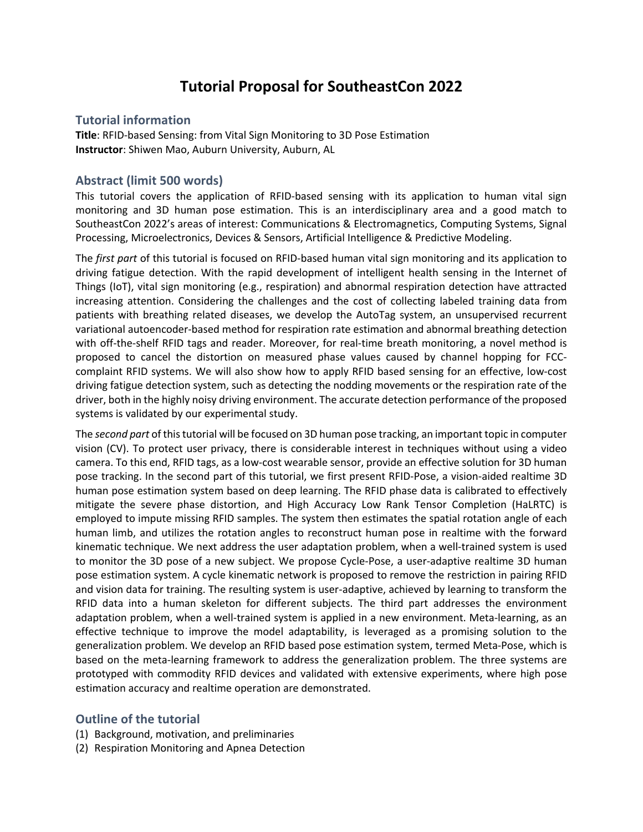# **Tutorial Proposal for SoutheastCon 2022**

#### **Tutorial information**

**Title**: RFID-based Sensing: from Vital Sign Monitoring to 3D Pose Estimation **Instructor**: Shiwen Mao, Auburn University, Auburn, AL

## **Abstract (limit 500 words)**

This tutorial covers the application of RFID-based sensing with its application to human vital sign monitoring and 3D human pose estimation. This is an interdisciplinary area and a good match to SoutheastCon 2022's areas of interest: Communications & Electromagnetics, Computing Systems, Signal Processing, Microelectronics, Devices & Sensors, Artificial Intelligence & Predictive Modeling.

The *first part* of this tutorial is focused on RFID-based human vital sign monitoring and its application to driving fatigue detection. With the rapid development of intelligent health sensing in the Internet of Things (IoT), vital sign monitoring (e.g., respiration) and abnormal respiration detection have attracted increasing attention. Considering the challenges and the cost of collecting labeled training data from patients with breathing related diseases, we develop the AutoTag system, an unsupervised recurrent variational autoencoder-based method for respiration rate estimation and abnormal breathing detection with off-the-shelf RFID tags and reader. Moreover, for real-time breath monitoring, a novel method is proposed to cancel the distortion on measured phase values caused by channel hopping for FCCcomplaint RFID systems. We will also show how to apply RFID based sensing for an effective, low-cost driving fatigue detection system, such as detecting the nodding movements or the respiration rate of the driver, both in the highly noisy driving environment. The accurate detection performance of the proposed systems is validated by our experimental study.

The *second part* of this tutorial will be focused on 3D human pose tracking, an important topic in computer vision (CV). To protect user privacy, there is considerable interest in techniques without using a video camera. To this end, RFID tags, as a low-cost wearable sensor, provide an effective solution for 3D human pose tracking. In the second part of this tutorial, we first present RFID-Pose, a vision-aided realtime 3D human pose estimation system based on deep learning. The RFID phase data is calibrated to effectively mitigate the severe phase distortion, and High Accuracy Low Rank Tensor Completion (HaLRTC) is employed to impute missing RFID samples. The system then estimates the spatial rotation angle of each human limb, and utilizes the rotation angles to reconstruct human pose in realtime with the forward kinematic technique. We next address the user adaptation problem, when a well-trained system is used to monitor the 3D pose of a new subject. We propose Cycle-Pose, a user-adaptive realtime 3D human pose estimation system. A cycle kinematic network is proposed to remove the restriction in pairing RFID and vision data for training. The resulting system is user-adaptive, achieved by learning to transform the RFID data into a human skeleton for different subjects. The third part addresses the environment adaptation problem, when a well-trained system is applied in a new environment. Meta-learning, as an effective technique to improve the model adaptability, is leveraged as a promising solution to the generalization problem. We develop an RFID based pose estimation system, termed Meta-Pose, which is based on the meta-learning framework to address the generalization problem. The three systems are prototyped with commodity RFID devices and validated with extensive experiments, where high pose estimation accuracy and realtime operation are demonstrated.

## **Outline of the tutorial**

- (1) Background, motivation, and preliminaries
- (2) Respiration Monitoring and Apnea Detection